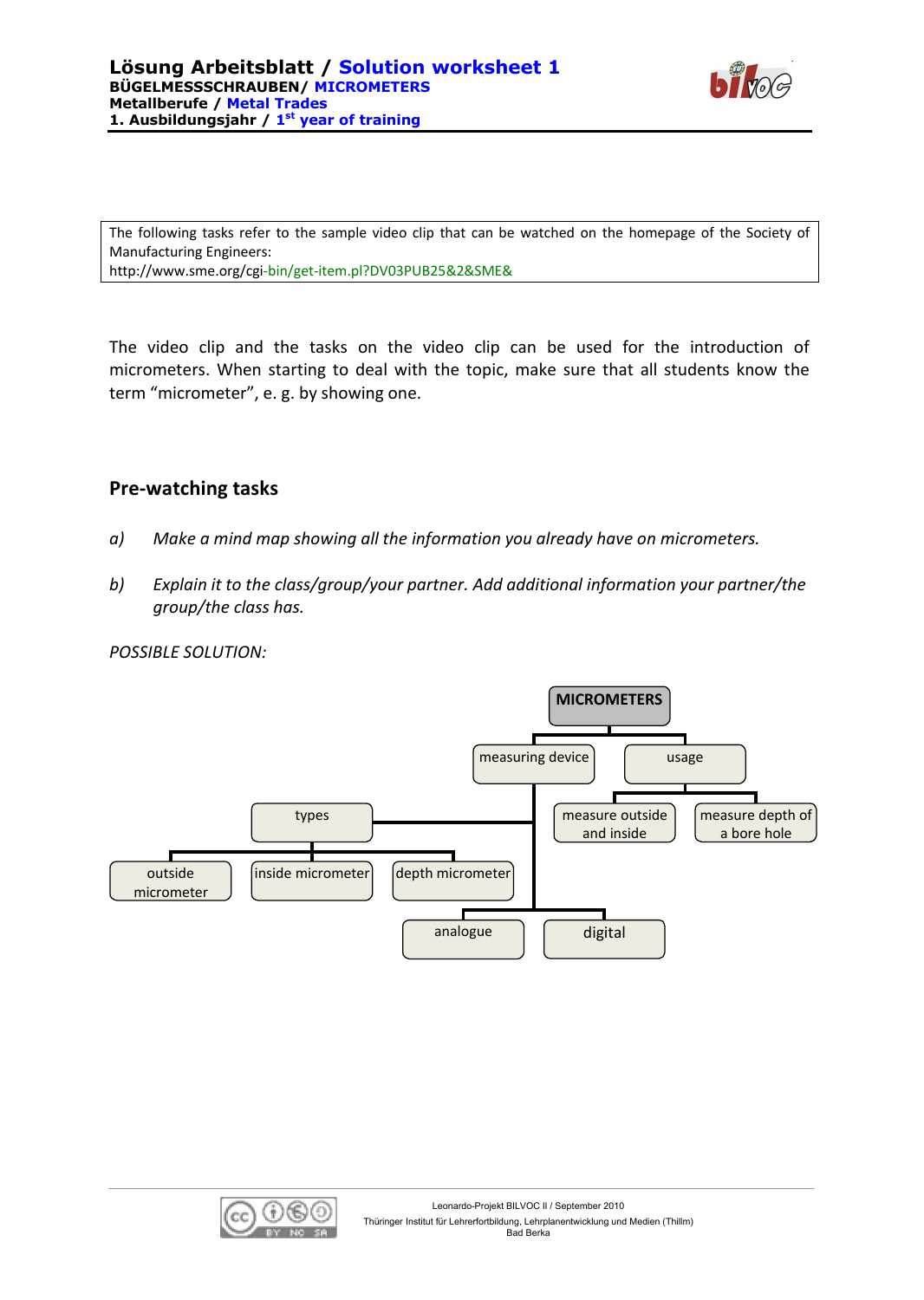

The following tasks refer to the sample video clip that can be watched on the homepage of the Society of Manufacturing Engineers: <http://www.sme.org/cgi-bin/get-item.pl?DV03PUB25&2&SME&>

The video clip and the tasks on the video clip can be used for the introduction of micrometers. When starting to deal with the topic, make sure that all students know the term "micrometer", e. g. by showing one.

## **Pre-watching tasks**

- *a) Make a mind map showing all the information you already have on micrometers.*
- *b) Explain it to the class/group/your partner. Add additional information your partner/the group/the class has.*

#### *POSSIBLE SOLUTION:*



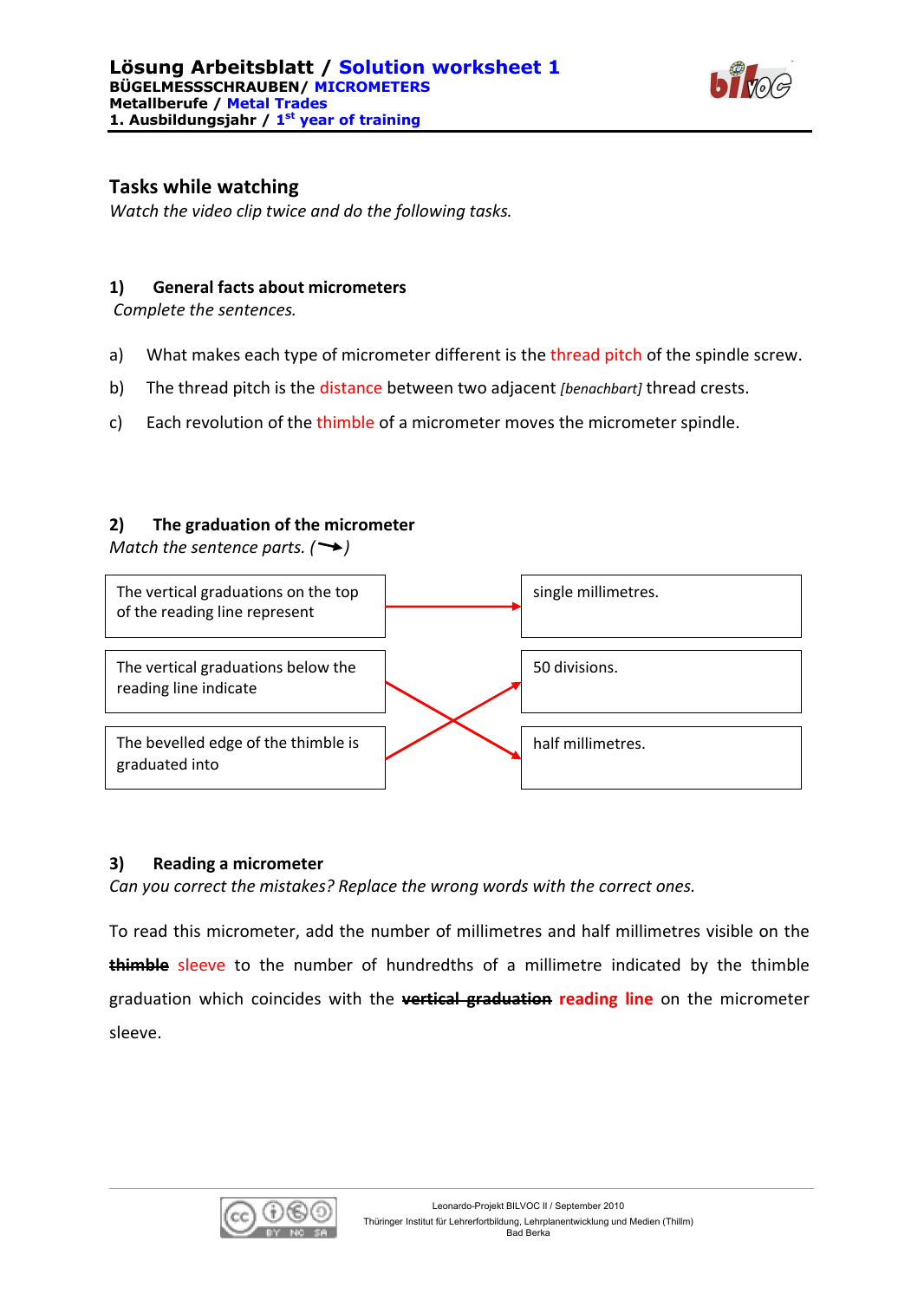

# **Tasks while watching**

*Watch the video clip twice and do the following tasks.*

## **1) General facts about micrometers**

*Complete the sentences.*

- a) What makes each type of micrometer different is the thread pitch of the spindle screw.
- b) The thread pitch is the distance between two adjacent *[benachbart]* thread crests.
- c) Each revolution of the thimble of a micrometer moves the micrometer spindle.

### **2) The graduation of the micrometer**

*Match the sentence parts.*  $(\rightarrow)$ 



#### **3) Reading a micrometer**

*Can you correct the mistakes? Replace the wrong words with the correct ones.* 

To read this micrometer, add the number of millimetres and half millimetres visible on the **thimble** sleeve to the number of hundredths of a millimetre indicated by the thimble graduation which coincides with the **vertical graduation reading line** on the micrometer sleeve.